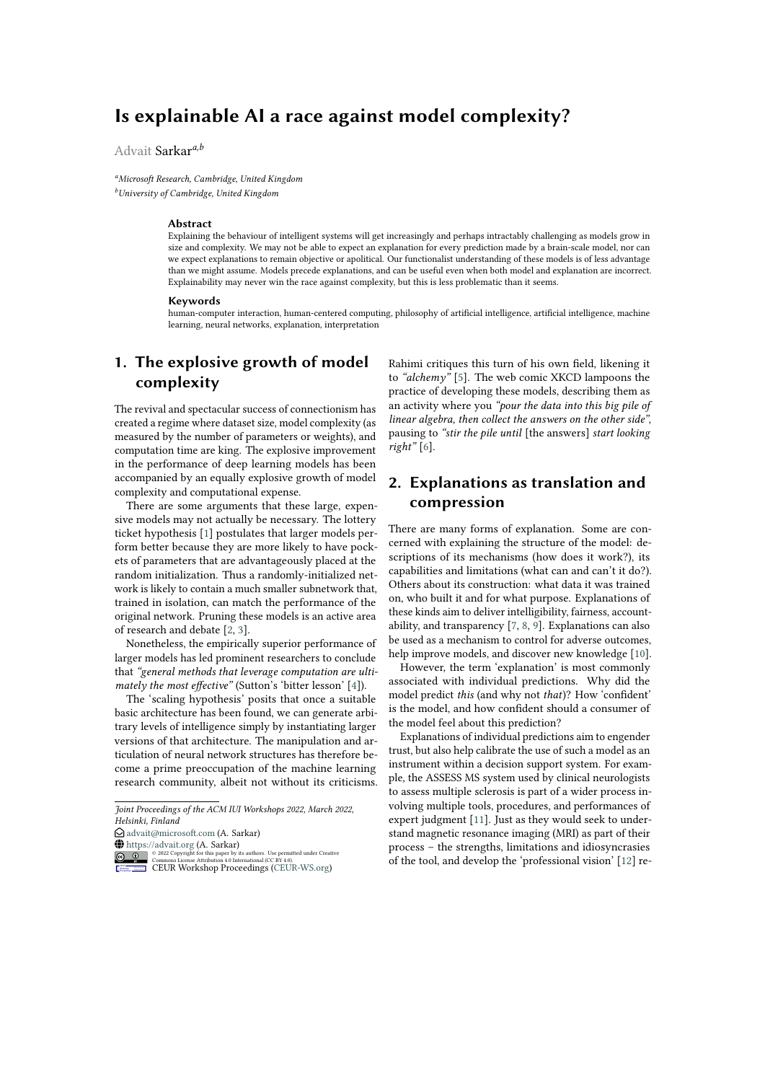# **Is explainable AI a race against model complexity?**

### Advait Sarkar*a,b*

*<sup>a</sup>Microsoft Research, Cambridge, United Kingdom <sup>b</sup>University of Cambridge, United Kingdom*

#### **Abstract**

Explaining the behaviour of intelligent systems will get increasingly and perhaps intractably challenging as models grow in size and complexity. We may not be able to expect an explanation for every prediction made by a brain-scale model, nor can we expect explanations to remain objective or apolitical. Our functionalist understanding of these models is of less advantage than we might assume. Models precede explanations, and can be useful even when both model and explanation are incorrect. Explainability may never win the race against complexity, but this is less problematic than it seems.

#### **Keywords**

human-computer interaction, human-centered computing, philosophy of artificial intelligence, artificial intelligence, machine learning, neural networks, explanation, interpretation

# **1. The explosive growth of model complexity**

The revival and spectacular success of connectionism has created a regime where dataset size, model complexity (as measured by the number of parameters or weights), and computation time are king. The explosive improvement in the performance of deep learning models has been accompanied by an equally explosive growth of model complexity and computational expense.

There are some arguments that these large, expensive models may not actually be necessary. The lottery ticket hypothesis [\[1\]](#page-6-0) postulates that larger models perform better because they are more likely to have pockets of parameters that are advantageously placed at the random initialization. Thus a randomly-initialized network is likely to contain a much smaller subnetwork that, trained in isolation, can match the performance of the original network. Pruning these models is an active area of research and debate [\[2,](#page-6-1) [3\]](#page-6-2).

Nonetheless, the empirically superior performance of larger models has led prominent researchers to conclude that *"general methods that leverage computation are ultimately the most effective"* (Sutton's 'bitter lesson' [\[4\]](#page-6-3)).

The 'scaling hypothesis' posits that once a suitable basic architecture has been found, we can generate arbitrary levels of intelligence simply by instantiating larger versions of that architecture. The manipulation and articulation of neural network structures has therefore become a prime preoccupation of the machine learning research community, albeit not without its criticisms. Rahimi critiques this turn of his own field, likening it to *"alchemy"* [\[5\]](#page-6-4). The web comic XKCD lampoons the practice of developing these models, describing them as an activity where you *"pour the data into this big pile of linear algebra, then collect the answers on the other side"*, pausing to *"stir the pile until* [the answers] *start looking right"* [\[6\]](#page-6-5).

## **2. Explanations as translation and compression**

There are many forms of explanation. Some are concerned with explaining the structure of the model: descriptions of its mechanisms (how does it work?), its capabilities and limitations (what can and can't it do?). Others about its construction: what data it was trained on, who built it and for what purpose. Explanations of these kinds aim to deliver intelligibility, fairness, accountability, and transparency [\[7,](#page-6-6) [8,](#page-6-7) [9\]](#page-6-8). Explanations can also be used as a mechanism to control for adverse outcomes, help improve models, and discover new knowledge [\[10\]](#page-6-9).

However, the term 'explanation' is most commonly associated with individual predictions. Why did the model predict *this* (and why not *that*)? How 'confident' is the model, and how confident should a consumer of the model feel about this prediction?

Explanations of individual predictions aim to engender trust, but also help calibrate the use of such a model as an instrument within a decision support system. For example, the ASSESS MS system used by clinical neurologists to assess multiple sclerosis is part of a wider process involving multiple tools, procedures, and performances of expert judgment [\[11\]](#page-6-10). Just as they would seek to understand magnetic resonance imaging (MRI) as part of their process – the strengths, limitations and idiosyncrasies of the tool, and develop the 'professional vision' [\[12\]](#page-6-11) re-

*Joint Proceedings of the ACM IUI Workshops 2022, March 2022, Helsinki, Finland*

 $\bigcirc$ [advait@microsoft.com](mailto:advait@microsoft.com) (A. Sarkar)

**O**<https://advait.org>  $(A.$  Sarkar)

<sup>© 2022</sup> Copyright for this paper by its authors. Use permitted under Creative Commons License Attribution 4.0 International (CC BY 4.0). CEUR Workshop [Proceedings](http://ceur-ws.org) [\(CEUR-WS.org\)](http://ceur-ws.org)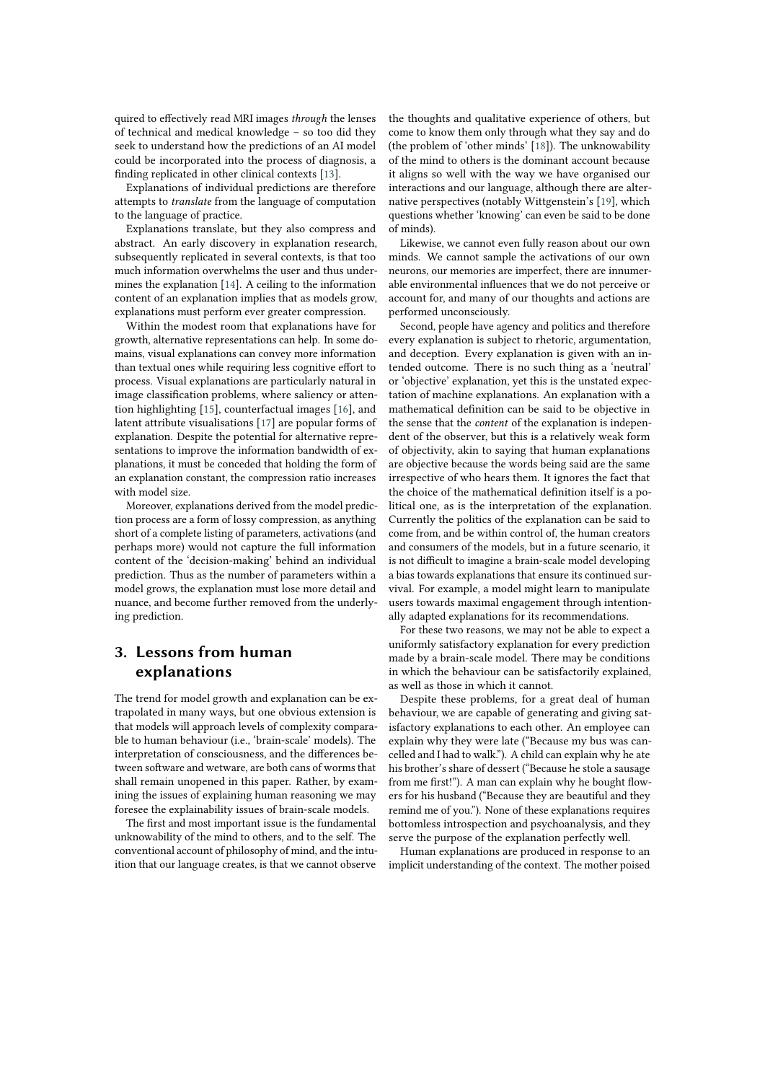quired to effectively read MRI images *through* the lenses of technical and medical knowledge – so too did they seek to understand how the predictions of an AI model could be incorporated into the process of diagnosis, a finding replicated in other clinical contexts [\[13\]](#page-6-12).

Explanations of individual predictions are therefore attempts to *translate* from the language of computation to the language of practice.

Explanations translate, but they also compress and abstract. An early discovery in explanation research, subsequently replicated in several contexts, is that too much information overwhelms the user and thus undermines the explanation [\[14\]](#page-6-13). A ceiling to the information content of an explanation implies that as models grow, explanations must perform ever greater compression.

Within the modest room that explanations have for growth, alternative representations can help. In some domains, visual explanations can convey more information than textual ones while requiring less cognitive effort to process. Visual explanations are particularly natural in image classification problems, where saliency or attention highlighting [\[15\]](#page-6-14), counterfactual images [\[16\]](#page-6-15), and latent attribute visualisations [\[17\]](#page-6-16) are popular forms of explanation. Despite the potential for alternative representations to improve the information bandwidth of explanations, it must be conceded that holding the form of an explanation constant, the compression ratio increases with model size.

Moreover, explanations derived from the model prediction process are a form of lossy compression, as anything short of a complete listing of parameters, activations (and perhaps more) would not capture the full information content of the 'decision-making' behind an individual prediction. Thus as the number of parameters within a model grows, the explanation must lose more detail and nuance, and become further removed from the underlying prediction.

# **3. Lessons from human explanations**

The trend for model growth and explanation can be extrapolated in many ways, but one obvious extension is that models will approach levels of complexity comparable to human behaviour (i.e., 'brain-scale' models). The interpretation of consciousness, and the differences between software and wetware, are both cans of worms that shall remain unopened in this paper. Rather, by examining the issues of explaining human reasoning we may foresee the explainability issues of brain-scale models.

The first and most important issue is the fundamental unknowability of the mind to others, and to the self. The conventional account of philosophy of mind, and the intuition that our language creates, is that we cannot observe the thoughts and qualitative experience of others, but come to know them only through what they say and do (the problem of 'other minds' [\[18\]](#page-6-17)). The unknowability of the mind to others is the dominant account because it aligns so well with the way we have organised our interactions and our language, although there are alternative perspectives (notably Wittgenstein's [\[19\]](#page-6-18), which questions whether 'knowing' can even be said to be done of minds).

Likewise, we cannot even fully reason about our own minds. We cannot sample the activations of our own neurons, our memories are imperfect, there are innumerable environmental influences that we do not perceive or account for, and many of our thoughts and actions are performed unconsciously.

Second, people have agency and politics and therefore every explanation is subject to rhetoric, argumentation, and deception. Every explanation is given with an intended outcome. There is no such thing as a 'neutral' or 'objective' explanation, yet this is the unstated expectation of machine explanations. An explanation with a mathematical definition can be said to be objective in the sense that the *content* of the explanation is independent of the observer, but this is a relatively weak form of objectivity, akin to saying that human explanations are objective because the words being said are the same irrespective of who hears them. It ignores the fact that the choice of the mathematical definition itself is a political one, as is the interpretation of the explanation. Currently the politics of the explanation can be said to come from, and be within control of, the human creators and consumers of the models, but in a future scenario, it is not difficult to imagine a brain-scale model developing a bias towards explanations that ensure its continued survival. For example, a model might learn to manipulate users towards maximal engagement through intentionally adapted explanations for its recommendations.

For these two reasons, we may not be able to expect a uniformly satisfactory explanation for every prediction made by a brain-scale model. There may be conditions in which the behaviour can be satisfactorily explained, as well as those in which it cannot.

Despite these problems, for a great deal of human behaviour, we are capable of generating and giving satisfactory explanations to each other. An employee can explain why they were late ("Because my bus was cancelled and I had to walk."). A child can explain why he ate his brother's share of dessert ("Because he stole a sausage from me first!"). A man can explain why he bought flowers for his husband ("Because they are beautiful and they remind me of you."). None of these explanations requires bottomless introspection and psychoanalysis, and they serve the purpose of the explanation perfectly well.

Human explanations are produced in response to an implicit understanding of the context. The mother poised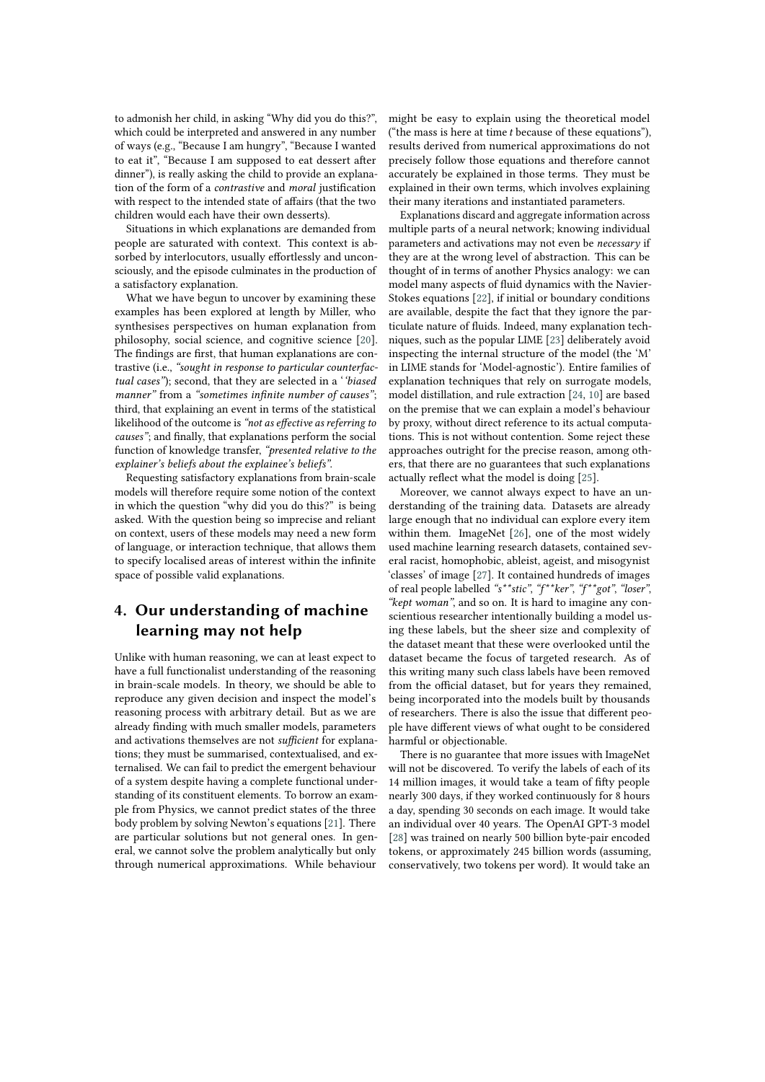to admonish her child, in asking "Why did you do this?", which could be interpreted and answered in any number of ways (e.g., "Because I am hungry", "Because I wanted to eat it", "Because I am supposed to eat dessert after dinner"), is really asking the child to provide an explanation of the form of a *contrastive* and *moral* justification with respect to the intended state of affairs (that the two children would each have their own desserts).

Situations in which explanations are demanded from people are saturated with context. This context is absorbed by interlocutors, usually effortlessly and unconsciously, and the episode culminates in the production of a satisfactory explanation.

What we have begun to uncover by examining these examples has been explored at length by Miller, who synthesises perspectives on human explanation from philosophy, social science, and cognitive science [\[20\]](#page-6-19). The findings are first, that human explanations are contrastive (i.e., *"sought in response to particular counterfactual cases"*); second, that they are selected in a '*'biased manner"* from a *"sometimes infinite number of causes"*; third, that explaining an event in terms of the statistical likelihood of the outcome is *"not as effective as referring to causes"*; and finally, that explanations perform the social function of knowledge transfer, *"presented relative to the explainer's beliefs about the explainee's beliefs"*.

Requesting satisfactory explanations from brain-scale models will therefore require some notion of the context in which the question "why did you do this?" is being asked. With the question being so imprecise and reliant on context, users of these models may need a new form of language, or interaction technique, that allows them to specify localised areas of interest within the infinite space of possible valid explanations.

## **4. Our understanding of machine learning may not help**

Unlike with human reasoning, we can at least expect to have a full functionalist understanding of the reasoning in brain-scale models. In theory, we should be able to reproduce any given decision and inspect the model's reasoning process with arbitrary detail. But as we are already finding with much smaller models, parameters and activations themselves are not *sufficient* for explanations; they must be summarised, contextualised, and externalised. We can fail to predict the emergent behaviour of a system despite having a complete functional understanding of its constituent elements. To borrow an example from Physics, we cannot predict states of the three body problem by solving Newton's equations [\[21\]](#page-6-20). There are particular solutions but not general ones. In general, we cannot solve the problem analytically but only through numerical approximations. While behaviour might be easy to explain using the theoretical model ("the mass is here at time  $t$  because of these equations"), results derived from numerical approximations do not precisely follow those equations and therefore cannot accurately be explained in those terms. They must be explained in their own terms, which involves explaining their many iterations and instantiated parameters.

Explanations discard and aggregate information across multiple parts of a neural network; knowing individual parameters and activations may not even be *necessary* if they are at the wrong level of abstraction. This can be thought of in terms of another Physics analogy: we can model many aspects of fluid dynamics with the Navier-Stokes equations [\[22\]](#page-6-21), if initial or boundary conditions are available, despite the fact that they ignore the particulate nature of fluids. Indeed, many explanation techniques, such as the popular LIME [\[23\]](#page-6-22) deliberately avoid inspecting the internal structure of the model (the 'M' in LIME stands for 'Model-agnostic'). Entire families of explanation techniques that rely on surrogate models, model distillation, and rule extraction [\[24,](#page-6-23) [10\]](#page-6-9) are based on the premise that we can explain a model's behaviour by proxy, without direct reference to its actual computations. This is not without contention. Some reject these approaches outright for the precise reason, among others, that there are no guarantees that such explanations actually reflect what the model is doing [\[25\]](#page-6-24).

Moreover, we cannot always expect to have an understanding of the training data. Datasets are already large enough that no individual can explore every item within them. ImageNet [\[26\]](#page-7-0), one of the most widely used machine learning research datasets, contained several racist, homophobic, ableist, ageist, and misogynist 'classes' of image [\[27\]](#page-7-1). It contained hundreds of images of real people labelled *"s\*\*stic"*, *"f\*\*ker"*, *"f\*\*got"*, *"loser"*, *"kept woman"*, and so on. It is hard to imagine any conscientious researcher intentionally building a model using these labels, but the sheer size and complexity of the dataset meant that these were overlooked until the dataset became the focus of targeted research. As of this writing many such class labels have been removed from the official dataset, but for years they remained, being incorporated into the models built by thousands of researchers. There is also the issue that different people have different views of what ought to be considered harmful or objectionable.

There is no guarantee that more issues with ImageNet will not be discovered. To verify the labels of each of its 14 million images, it would take a team of fifty people nearly 300 days, if they worked continuously for 8 hours a day, spending 30 seconds on each image. It would take an individual over 40 years. The OpenAI GPT-3 model [\[28\]](#page-7-2) was trained on nearly 500 billion byte-pair encoded tokens, or approximately 245 billion words (assuming, conservatively, two tokens per word). It would take an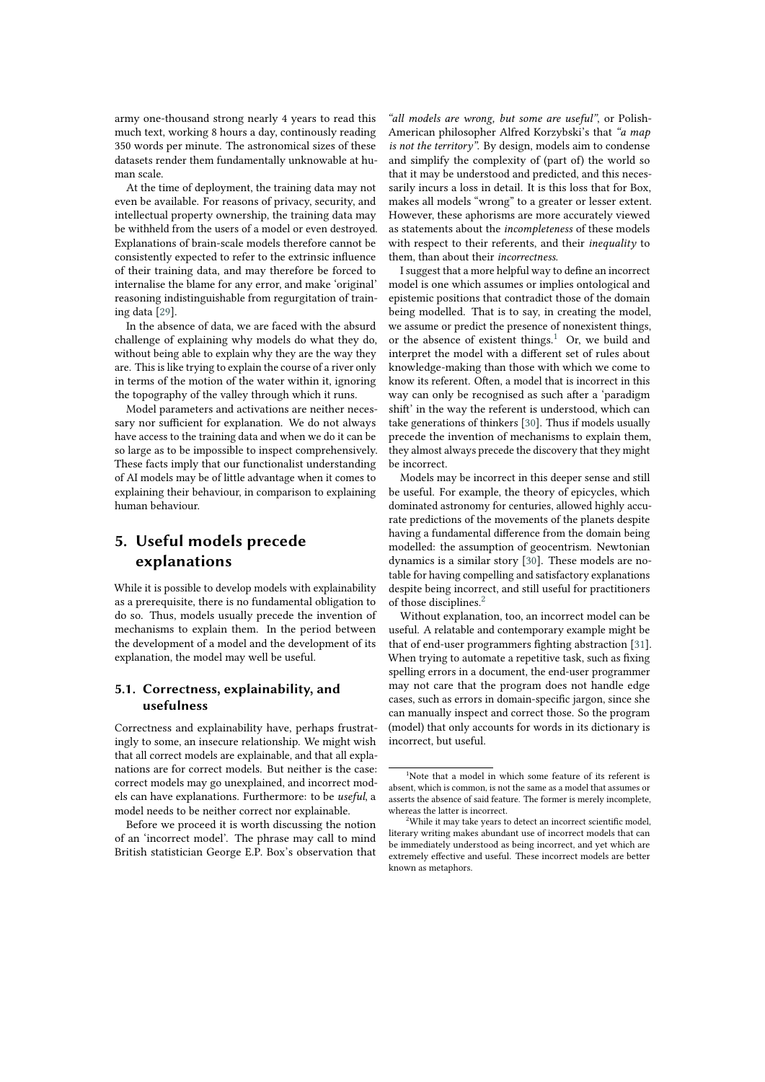army one-thousand strong nearly 4 years to read this much text, working 8 hours a day, continously reading 350 words per minute. The astronomical sizes of these datasets render them fundamentally unknowable at human scale.

At the time of deployment, the training data may not even be available. For reasons of privacy, security, and intellectual property ownership, the training data may be withheld from the users of a model or even destroyed. Explanations of brain-scale models therefore cannot be consistently expected to refer to the extrinsic influence of their training data, and may therefore be forced to internalise the blame for any error, and make 'original' reasoning indistinguishable from regurgitation of training data [\[29\]](#page-7-3).

In the absence of data, we are faced with the absurd challenge of explaining why models do what they do, without being able to explain why they are the way they are. This is like trying to explain the course of a river only in terms of the motion of the water within it, ignoring the topography of the valley through which it runs.

Model parameters and activations are neither necessary nor sufficient for explanation. We do not always have access to the training data and when we do it can be so large as to be impossible to inspect comprehensively. These facts imply that our functionalist understanding of AI models may be of little advantage when it comes to explaining their behaviour, in comparison to explaining human behaviour.

## **5. Useful models precede explanations**

While it is possible to develop models with explainability as a prerequisite, there is no fundamental obligation to do so. Thus, models usually precede the invention of mechanisms to explain them. In the period between the development of a model and the development of its explanation, the model may well be useful.

#### **5.1. Correctness, explainability, and usefulness**

Correctness and explainability have, perhaps frustratingly to some, an insecure relationship. We might wish that all correct models are explainable, and that all explanations are for correct models. But neither is the case: correct models may go unexplained, and incorrect models can have explanations. Furthermore: to be *useful*, a model needs to be neither correct nor explainable.

Before we proceed it is worth discussing the notion of an 'incorrect model'. The phrase may call to mind British statistician George E.P. Box's observation that

*"all models are wrong, but some are useful"*, or Polish-American philosopher Alfred Korzybski's that *"a map is not the territory"*. By design, models aim to condense and simplify the complexity of (part of) the world so that it may be understood and predicted, and this necessarily incurs a loss in detail. It is this loss that for Box, makes all models "wrong" to a greater or lesser extent. However, these aphorisms are more accurately viewed as statements about the *incompleteness* of these models with respect to their referents, and their *inequality* to them, than about their *incorrectness*.

I suggest that a more helpful way to define an incorrect model is one which assumes or implies ontological and epistemic positions that contradict those of the domain being modelled. That is to say, in creating the model, we assume or predict the presence of nonexistent things, or the absence of existent things. $1$  Or, we build and interpret the model with a different set of rules about knowledge-making than those with which we come to know its referent. Often, a model that is incorrect in this way can only be recognised as such after a 'paradigm shift' in the way the referent is understood, which can take generations of thinkers [\[30\]](#page-7-4). Thus if models usually precede the invention of mechanisms to explain them, they almost always precede the discovery that they might be incorrect.

Models may be incorrect in this deeper sense and still be useful. For example, the theory of epicycles, which dominated astronomy for centuries, allowed highly accurate predictions of the movements of the planets despite having a fundamental difference from the domain being modelled: the assumption of geocentrism. Newtonian dynamics is a similar story [\[30\]](#page-7-4). These models are notable for having compelling and satisfactory explanations despite being incorrect, and still useful for practitioners of those disciplines.[2](#page-3-1)

Without explanation, too, an incorrect model can be useful. A relatable and contemporary example might be that of end-user programmers fighting abstraction [\[31\]](#page-7-5). When trying to automate a repetitive task, such as fixing spelling errors in a document, the end-user programmer may not care that the program does not handle edge cases, such as errors in domain-specific jargon, since she can manually inspect and correct those. So the program (model) that only accounts for words in its dictionary is incorrect, but useful.

<span id="page-3-0"></span><sup>&</sup>lt;sup>1</sup>Note that a model in which some feature of its referent is absent, which is common, is not the same as a model that assumes or asserts the absence of said feature. The former is merely incomplete, whereas the latter is incorrect.

<span id="page-3-1"></span><sup>2</sup>While it may take years to detect an incorrect scientific model, literary writing makes abundant use of incorrect models that can be immediately understood as being incorrect, and yet which are extremely effective and useful. These incorrect models are better known as metaphors.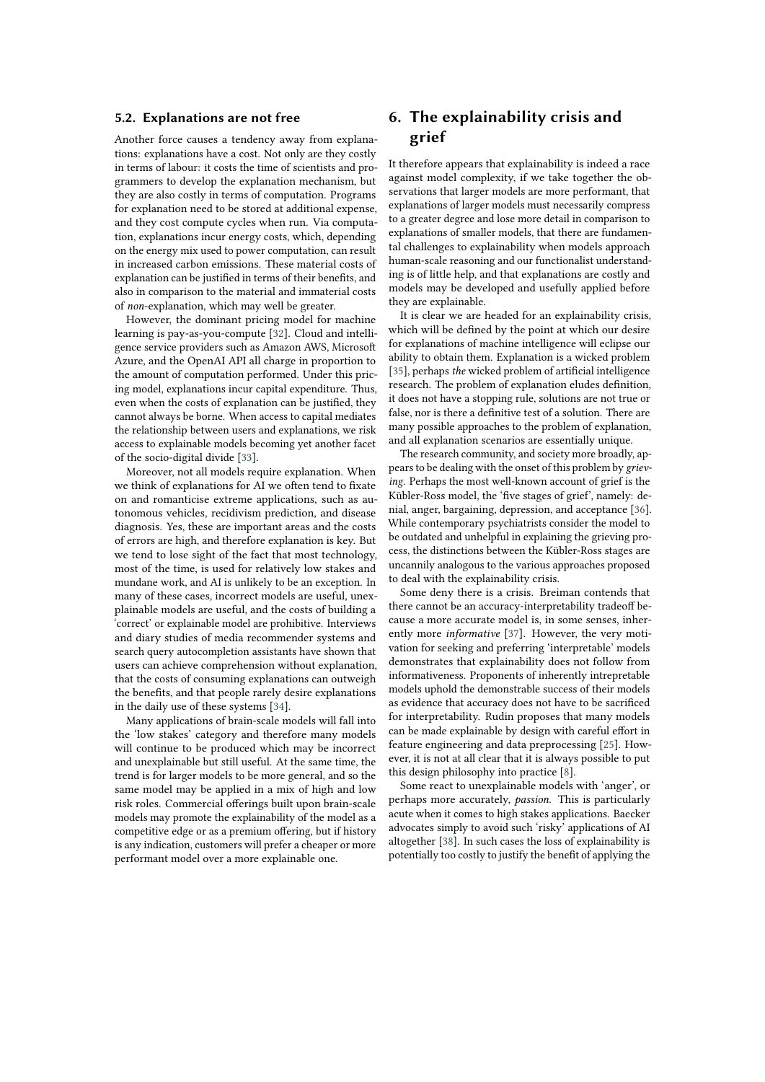#### **5.2. Explanations are not free**

Another force causes a tendency away from explanations: explanations have a cost. Not only are they costly in terms of labour: it costs the time of scientists and programmers to develop the explanation mechanism, but they are also costly in terms of computation. Programs for explanation need to be stored at additional expense, and they cost compute cycles when run. Via computation, explanations incur energy costs, which, depending on the energy mix used to power computation, can result in increased carbon emissions. These material costs of explanation can be justified in terms of their benefits, and also in comparison to the material and immaterial costs of *non*-explanation, which may well be greater.

However, the dominant pricing model for machine learning is pay-as-you-compute [\[32\]](#page-7-6). Cloud and intelligence service providers such as Amazon AWS, Microsoft Azure, and the OpenAI API all charge in proportion to the amount of computation performed. Under this pricing model, explanations incur capital expenditure. Thus, even when the costs of explanation can be justified, they cannot always be borne. When access to capital mediates the relationship between users and explanations, we risk access to explainable models becoming yet another facet of the socio-digital divide [\[33\]](#page-7-7).

Moreover, not all models require explanation. When we think of explanations for AI we often tend to fixate on and romanticise extreme applications, such as autonomous vehicles, recidivism prediction, and disease diagnosis. Yes, these are important areas and the costs of errors are high, and therefore explanation is key. But we tend to lose sight of the fact that most technology, most of the time, is used for relatively low stakes and mundane work, and AI is unlikely to be an exception. In many of these cases, incorrect models are useful, unexplainable models are useful, and the costs of building a 'correct' or explainable model are prohibitive. Interviews and diary studies of media recommender systems and search query autocompletion assistants have shown that users can achieve comprehension without explanation, that the costs of consuming explanations can outweigh the benefits, and that people rarely desire explanations in the daily use of these systems [\[34\]](#page-7-8).

Many applications of brain-scale models will fall into the 'low stakes' category and therefore many models will continue to be produced which may be incorrect and unexplainable but still useful. At the same time, the trend is for larger models to be more general, and so the same model may be applied in a mix of high and low risk roles. Commercial offerings built upon brain-scale models may promote the explainability of the model as a competitive edge or as a premium offering, but if history is any indication, customers will prefer a cheaper or more performant model over a more explainable one.

# **6. The explainability crisis and grief**

It therefore appears that explainability is indeed a race against model complexity, if we take together the observations that larger models are more performant, that explanations of larger models must necessarily compress to a greater degree and lose more detail in comparison to explanations of smaller models, that there are fundamental challenges to explainability when models approach human-scale reasoning and our functionalist understanding is of little help, and that explanations are costly and models may be developed and usefully applied before they are explainable.

It is clear we are headed for an explainability crisis, which will be defined by the point at which our desire for explanations of machine intelligence will eclipse our ability to obtain them. Explanation is a wicked problem [\[35\]](#page-7-9), perhaps *the* wicked problem of artificial intelligence research. The problem of explanation eludes definition, it does not have a stopping rule, solutions are not true or false, nor is there a definitive test of a solution. There are many possible approaches to the problem of explanation, and all explanation scenarios are essentially unique.

The research community, and society more broadly, appears to be dealing with the onset of this problem by *grieving*. Perhaps the most well-known account of grief is the Kübler-Ross model, the 'five stages of grief', namely: denial, anger, bargaining, depression, and acceptance [\[36\]](#page-7-10). While contemporary psychiatrists consider the model to be outdated and unhelpful in explaining the grieving process, the distinctions between the Kübler-Ross stages are uncannily analogous to the various approaches proposed to deal with the explainability crisis.

Some deny there is a crisis. Breiman contends that there cannot be an accuracy-interpretability tradeoff because a more accurate model is, in some senses, inherently more *informative* [\[37\]](#page-7-11). However, the very motivation for seeking and preferring 'interpretable' models demonstrates that explainability does not follow from informativeness. Proponents of inherently intrepretable models uphold the demonstrable success of their models as evidence that accuracy does not have to be sacrificed for interpretability. Rudin proposes that many models can be made explainable by design with careful effort in feature engineering and data preprocessing [\[25\]](#page-6-24). However, it is not at all clear that it is always possible to put this design philosophy into practice [\[8\]](#page-6-7).

Some react to unexplainable models with 'anger', or perhaps more accurately, *passion*. This is particularly acute when it comes to high stakes applications. Baecker advocates simply to avoid such 'risky' applications of AI altogether [\[38\]](#page-7-12). In such cases the loss of explainability is potentially too costly to justify the benefit of applying the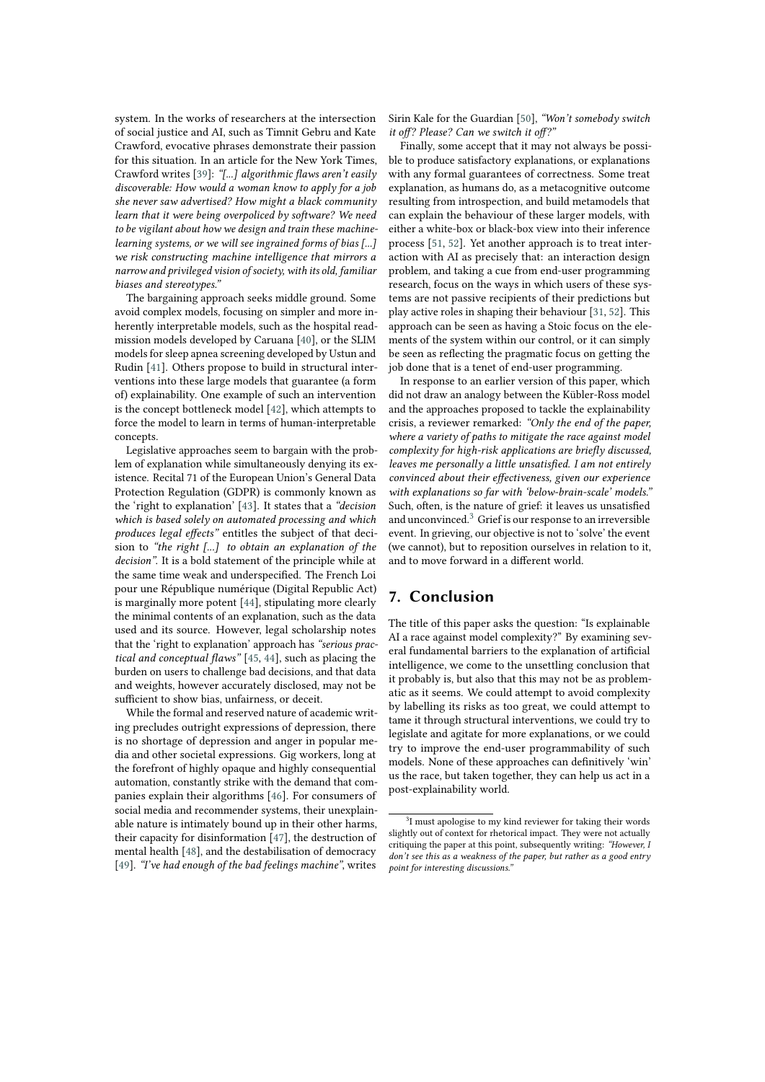system. In the works of researchers at the intersection of social justice and AI, such as Timnit Gebru and Kate Crawford, evocative phrases demonstrate their passion for this situation. In an article for the New York Times, Crawford writes [\[39\]](#page-7-13): *"[...] algorithmic flaws aren't easily discoverable: How would a woman know to apply for a job she never saw advertised? How might a black community learn that it were being overpoliced by software? We need to be vigilant about how we design and train these machinelearning systems, or we will see ingrained forms of bias [...] we risk constructing machine intelligence that mirrors a narrow and privileged vision of society, with its old, familiar biases and stereotypes."*

The bargaining approach seeks middle ground. Some avoid complex models, focusing on simpler and more inherently interpretable models, such as the hospital readmission models developed by Caruana [\[40\]](#page-7-14), or the SLIM models for sleep apnea screening developed by Ustun and Rudin [\[41\]](#page-7-15). Others propose to build in structural interventions into these large models that guarantee (a form of) explainability. One example of such an intervention is the concept bottleneck model [\[42\]](#page-7-16), which attempts to force the model to learn in terms of human-interpretable concepts.

Legislative approaches seem to bargain with the problem of explanation while simultaneously denying its existence. Recital 71 of the European Union's General Data Protection Regulation (GDPR) is commonly known as the 'right to explanation' [\[43\]](#page-7-17). It states that a *"decision which is based solely on automated processing and which produces legal effects"* entitles the subject of that decision to *"the right [...] to obtain an explanation of the decision"*. It is a bold statement of the principle while at the same time weak and underspecified. The French Loi pour une République numérique (Digital Republic Act) is marginally more potent [\[44\]](#page-7-18), stipulating more clearly the minimal contents of an explanation, such as the data used and its source. However, legal scholarship notes that the 'right to explanation' approach has *"serious practical and conceptual flaws"* [\[45,](#page-7-19) [44\]](#page-7-18), such as placing the burden on users to challenge bad decisions, and that data and weights, however accurately disclosed, may not be sufficient to show bias, unfairness, or deceit.

While the formal and reserved nature of academic writing precludes outright expressions of depression, there is no shortage of depression and anger in popular media and other societal expressions. Gig workers, long at the forefront of highly opaque and highly consequential automation, constantly strike with the demand that companies explain their algorithms [\[46\]](#page-7-20). For consumers of social media and recommender systems, their unexplainable nature is intimately bound up in their other harms, their capacity for disinformation  $\overline{[47]}$ , the destruction of mental health [\[48\]](#page-7-22), and the destabilisation of democracy [\[49\]](#page-7-23). *"I've had enough of the bad feelings machine"*, writes

Sirin Kale for the Guardian [\[50\]](#page-7-24), *"Won't somebody switch it off? Please? Can we switch it off?"*

Finally, some accept that it may not always be possible to produce satisfactory explanations, or explanations with any formal guarantees of correctness. Some treat explanation, as humans do, as a metacognitive outcome resulting from introspection, and build metamodels that can explain the behaviour of these larger models, with either a white-box or black-box view into their inference process [\[51,](#page-7-25) [52\]](#page-7-26). Yet another approach is to treat interaction with AI as precisely that: an interaction design problem, and taking a cue from end-user programming research, focus on the ways in which users of these systems are not passive recipients of their predictions but play active roles in shaping their behaviour [\[31,](#page-7-5) [52\]](#page-7-26). This approach can be seen as having a Stoic focus on the elements of the system within our control, or it can simply be seen as reflecting the pragmatic focus on getting the job done that is a tenet of end-user programming.

In response to an earlier version of this paper, which did not draw an analogy between the Kübler-Ross model and the approaches proposed to tackle the explainability crisis, a reviewer remarked: *"Only the end of the paper, where a variety of paths to mitigate the race against model complexity for high-risk applications are briefly discussed, leaves me personally a little unsatisfied. I am not entirely convinced about their effectiveness, given our experience with explanations so far with 'below-brain-scale' models."* Such, often, is the nature of grief: it leaves us unsatisfied and unconvinced.[3](#page-5-0) Grief is our response to an irreversible event. In grieving, our objective is not to 'solve' the event (we cannot), but to reposition ourselves in relation to it, and to move forward in a different world.

## **7. Conclusion**

The title of this paper asks the question: "Is explainable AI a race against model complexity?" By examining several fundamental barriers to the explanation of artificial intelligence, we come to the unsettling conclusion that it probably is, but also that this may not be as problematic as it seems. We could attempt to avoid complexity by labelling its risks as too great, we could attempt to tame it through structural interventions, we could try to legislate and agitate for more explanations, or we could try to improve the end-user programmability of such models. None of these approaches can definitively 'win' us the race, but taken together, they can help us act in a post-explainability world.

<span id="page-5-0"></span><sup>&</sup>lt;sup>3</sup>I must apologise to my kind reviewer for taking their words slightly out of context for rhetorical impact. They were not actually critiquing the paper at this point, subsequently writing: *"However, I don't see this as a weakness of the paper, but rather as a good entry point for interesting discussions."*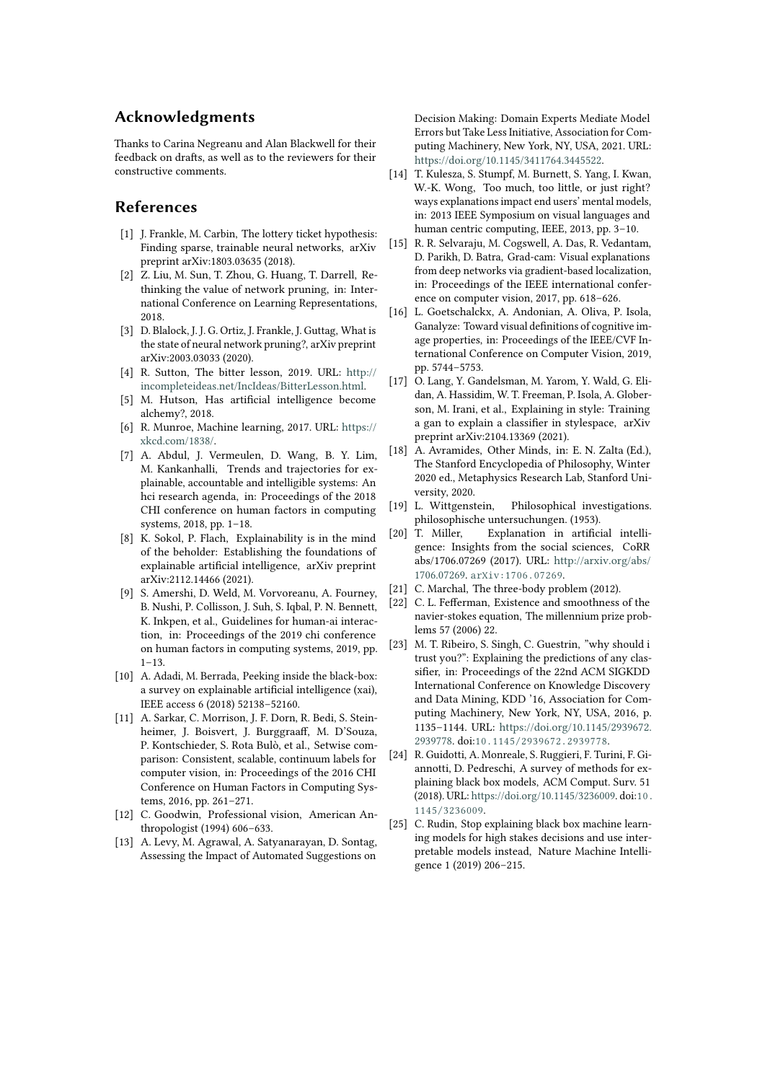### **Acknowledgments**

Thanks to Carina Negreanu and Alan Blackwell for their feedback on drafts, as well as to the reviewers for their constructive comments.

### **References**

- <span id="page-6-0"></span>[1] J. Frankle, M. Carbin, The lottery ticket hypothesis: Finding sparse, trainable neural networks, arXiv preprint arXiv:1803.03635 (2018).
- <span id="page-6-1"></span>[2] Z. Liu, M. Sun, T. Zhou, G. Huang, T. Darrell, Rethinking the value of network pruning, in: International Conference on Learning Representations, 2018.
- <span id="page-6-2"></span>[3] D. Blalock, J. J. G. Ortiz, J. Frankle, J. Guttag, What is the state of neural network pruning?, arXiv preprint arXiv:2003.03033 (2020).
- <span id="page-6-3"></span>[4] R. Sutton, The bitter lesson, 2019. URL: [http://](http://incompleteideas.net/IncIdeas/BitterLesson.html) [incompleteideas.net/IncIdeas/BitterLesson.html.](http://incompleteideas.net/IncIdeas/BitterLesson.html)
- <span id="page-6-4"></span>[5] M. Hutson, Has artificial intelligence become alchemy?, 2018.
- <span id="page-6-5"></span>[6] R. Munroe, Machine learning, 2017. URL: [https://](https://xkcd.com/1838/) [xkcd.com/1838/.](https://xkcd.com/1838/)
- <span id="page-6-6"></span>[7] A. Abdul, J. Vermeulen, D. Wang, B. Y. Lim, M. Kankanhalli, Trends and trajectories for explainable, accountable and intelligible systems: An hci research agenda, in: Proceedings of the 2018 CHI conference on human factors in computing systems, 2018, pp. 1–18.
- <span id="page-6-7"></span>[8] K. Sokol, P. Flach, Explainability is in the mind of the beholder: Establishing the foundations of explainable artificial intelligence, arXiv preprint arXiv:2112.14466 (2021).
- <span id="page-6-8"></span>[9] S. Amershi, D. Weld, M. Vorvoreanu, A. Fourney, B. Nushi, P. Collisson, J. Suh, S. Iqbal, P. N. Bennett, K. Inkpen, et al., Guidelines for human-ai interaction, in: Proceedings of the 2019 chi conference on human factors in computing systems, 2019, pp.  $1 - 13$ .
- <span id="page-6-9"></span>[10] A. Adadi, M. Berrada, Peeking inside the black-box: a survey on explainable artificial intelligence (xai), IEEE access 6 (2018) 52138–52160.
- <span id="page-6-10"></span>[11] A. Sarkar, C. Morrison, J. F. Dorn, R. Bedi, S. Steinheimer, J. Boisvert, J. Burggraaff, M. D'Souza, P. Kontschieder, S. Rota Bulò, et al., Setwise comparison: Consistent, scalable, continuum labels for computer vision, in: Proceedings of the 2016 CHI Conference on Human Factors in Computing Systems, 2016, pp. 261–271.
- <span id="page-6-11"></span>[12] C. Goodwin, Professional vision, American Anthropologist (1994) 606–633.
- <span id="page-6-12"></span>[13] A. Levy, M. Agrawal, A. Satyanarayan, D. Sontag, Assessing the Impact of Automated Suggestions on

Decision Making: Domain Experts Mediate Model Errors but Take Less Initiative, Association for Computing Machinery, New York, NY, USA, 2021. URL: [https://doi.org/10.1145/3411764.3445522.](https://doi.org/10.1145/3411764.3445522)

- <span id="page-6-13"></span>[14] T. Kulesza, S. Stumpf, M. Burnett, S. Yang, I. Kwan, W.-K. Wong, Too much, too little, or just right? ways explanations impact end users' mental models, in: 2013 IEEE Symposium on visual languages and human centric computing, IEEE, 2013, pp. 3–10.
- <span id="page-6-14"></span>[15] R. R. Selvaraju, M. Cogswell, A. Das, R. Vedantam, D. Parikh, D. Batra, Grad-cam: Visual explanations from deep networks via gradient-based localization, in: Proceedings of the IEEE international conference on computer vision, 2017, pp. 618–626.
- <span id="page-6-15"></span>[16] L. Goetschalckx, A. Andonian, A. Oliva, P. Isola, Ganalyze: Toward visual definitions of cognitive image properties, in: Proceedings of the IEEE/CVF International Conference on Computer Vision, 2019, pp. 5744–5753.
- <span id="page-6-16"></span>[17] O. Lang, Y. Gandelsman, M. Yarom, Y. Wald, G. Elidan, A. Hassidim, W. T. Freeman, P. Isola, A. Globerson, M. Irani, et al., Explaining in style: Training a gan to explain a classifier in stylespace, arXiv preprint arXiv:2104.13369 (2021).
- <span id="page-6-17"></span>[18] A. Avramides, Other Minds, in: E. N. Zalta (Ed.), The Stanford Encyclopedia of Philosophy, Winter 2020 ed., Metaphysics Research Lab, Stanford University, 2020.
- <span id="page-6-18"></span>[19] L. Wittgenstein, Philosophical investigations. philosophische untersuchungen. (1953).
- <span id="page-6-19"></span>[20] T. Miller, Explanation in artificial intelligence: Insights from the social sciences, CoRR abs/1706.07269 (2017). URL: [http://arxiv.org/abs/](http://arxiv.org/abs/1706.07269) [1706.07269.](http://arxiv.org/abs/1706.07269) [arXiv:1706.07269](http://arxiv.org/abs/1706.07269).
- <span id="page-6-20"></span>[21] C. Marchal, The three-body problem (2012).
- <span id="page-6-21"></span>[22] C. L. Fefferman, Existence and smoothness of the navier-stokes equation, The millennium prize problems 57 (2006) 22.
- <span id="page-6-22"></span>[23] M. T. Ribeiro, S. Singh, C. Guestrin, "why should i trust you?": Explaining the predictions of any classifier, in: Proceedings of the 22nd ACM SIGKDD International Conference on Knowledge Discovery and Data Mining, KDD '16, Association for Computing Machinery, New York, NY, USA, 2016, p. 1135–1144. URL: [https://doi.org/10.1145/2939672.](https://doi.org/10.1145/2939672.2939778) [2939778.](https://doi.org/10.1145/2939672.2939778) doi:[10.1145/2939672.2939778](http://dx.doi.org/10.1145/2939672.2939778).
- <span id="page-6-23"></span>[24] R. Guidotti, A. Monreale, S. Ruggieri, F. Turini, F. Giannotti, D. Pedreschi, A survey of methods for explaining black box models, ACM Comput. Surv. 51 (2018). URL: [https://doi.org/10.1145/3236009.](https://doi.org/10.1145/3236009) doi:[10.](http://dx.doi.org/10.1145/3236009) [1145/3236009](http://dx.doi.org/10.1145/3236009).
- <span id="page-6-24"></span>[25] C. Rudin, Stop explaining black box machine learning models for high stakes decisions and use interpretable models instead, Nature Machine Intelligence 1 (2019) 206–215.